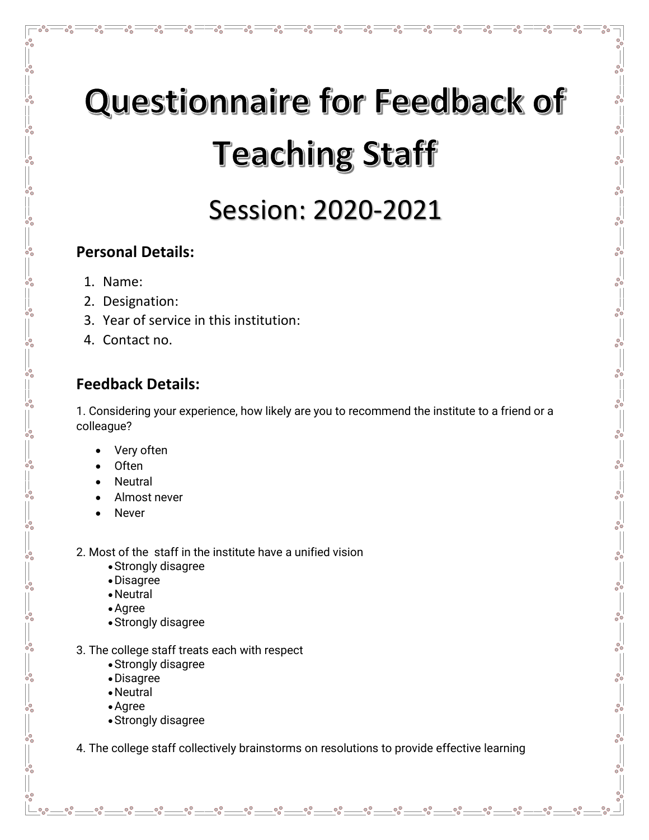# **Questionnaire for Feedback of Teaching Staff**

್ಲಿ

್ಲಿ

 $\overline{\circ}^{\circ}$ 

 $\overline{R}^{\circ}$ 

ం

 $\circ^\circ$ 

 $-20 - 20 - 20$ 

 $\frac{1}{2}$ 

 $-8^{o}$ 

 $\frac{3}{6}$  -  $\frac{3}{6}$  -  $\frac{3}{6}$  -  $\frac{3}{6}$  -  $\frac{3}{6}$ 

 $-80 - 0 - 0$ 

 $- \frac{6}{6}$ 

 $\frac{1}{2}$ 

 $-8^{\circ}$   $-8^{\circ}$ 

 $-80-80$ 

 $-6^{o}$ 

 $\overline{\overset{\circ}{\circ}}$ 

 $-$ % $^{\circ}$ 

## Session: 2020-2021

#### **Personal Details:**

1. Name:

 $\circ_{\circ}^{\circ}$ 

ဖိ

ပ္၀ိ

 $\circ_{\circ}^{\circ}$ 

ပ္စ္လိ

 $-6^{0}$ 

ဖိ

ပ္စ္လိ

ပ္စ္ဂ်င္

ပ္စ္ဂ်င  $\frac{1}{20}$ 

 $-6^{0}$ 

ပ္စ္လိ

စိုင

 $\frac{1}{\sqrt{2}}$ 

 $\circ_{\circ}^{\circ}$ 

 $\circ_{\circ}^{\circ}$ 

 $\frac{1}{200}$ 

ပ္စ္လိ

ပ္စ္လိ

ပ္စ္လိ

- 2. Designation:
- 3. Year of service in this institution:
- 4. Contact no.

### **Feedback Details:**

1. Considering your experience, how likely are you to recommend the institute to a friend or a colleague?

- Very often
- Often
- **Neutral**
- Almost never
- **Never**

2. Most of the staff in the institute have a unified vision

- •Strongly disagree
- •Disagree
- •Neutral
- •Agree
- •Strongly disagree
- 3. The college staff treats each with respect
	- •Strongly disagree
	- •Disagree
	- •Neutral
	- •Agree

 $-0.0$ 

•Strongly disagree

4. The college staff collectively brainstorms on resolutions to provide effective learning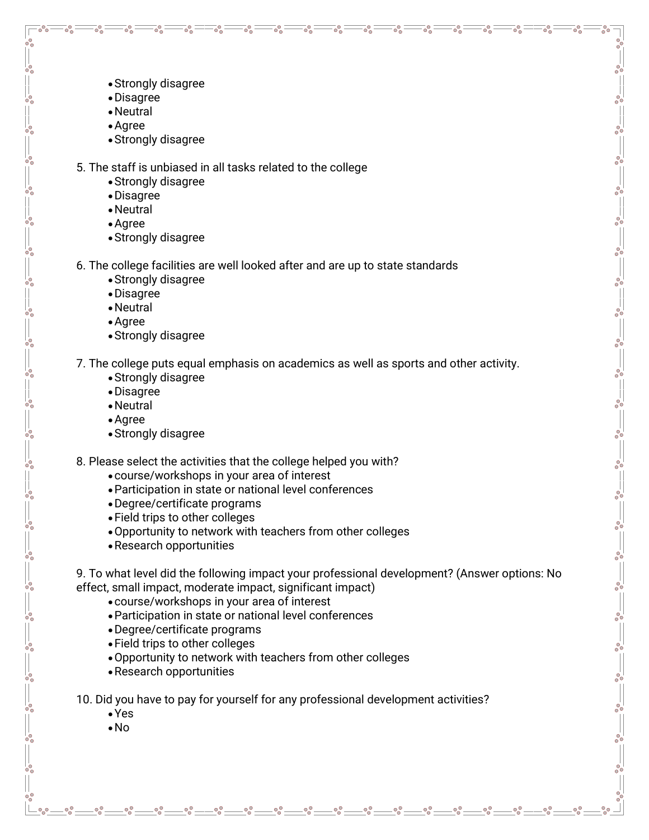•Strongly disagree

 $\circ^\circ$ 

 $\overline{\circ}^{\circ}$ 

ండి

- •Disagree
- •Neutral
- •Agree

ೊ

 $\circ_{\circ}^{\circ}$ 

ပ္၀ိ

ပ္စ္လိ

 $\overline{\circ}^{\circ}_\circ$ 

တိ

 $\circ_{\circ}^{\circ}$ 

•Strongly disagree

5. The staff is unbiased in all tasks related to the college

 $\circ_{\circ}^{\circ}$ 

 $\circ^\circ$ 

ం

 $\overline{\circ}$  $\circ$ 

 $\overline{\circ}^{\circ}_{\circ}$  :

 $\overline{\circ}^{\circ}$ 

 $\overline{\circ}$  $\circ$ 

ం

 $\overline{\circ}^{\circ}$ 

్లి

 $\circ^\circ$ 

 $-28 - 28 - 28 - 28 - 28$ 

 $\frac{3}{6}$  -  $\frac{3}{6}$  -  $\frac{3}{6}$  -  $\frac{3}{6}$  -  $\frac{3}{6}$ 

 $\frac{1}{100}$   $\frac{1}{100}$   $\frac{1}{100}$   $\frac{1}{100}$   $\frac{1}{100}$   $\frac{1}{100}$   $\frac{1}{100}$   $\frac{1}{100}$   $\frac{1}{100}$   $\frac{1}{100}$   $\frac{1}{100}$   $\frac{1}{100}$   $\frac{1}{100}$   $\frac{1}{100}$   $\frac{1}{100}$   $\frac{1}{100}$   $\frac{1}{100}$ 

 $\frac{1}{2}$ 

 $-60$ 

 $\frac{5}{6}$ 

 $\overline{\circ}$ 

- •Strongly disagree
- •Disagree
- •Neutral
- •Agree
- •Strongly disagree
- 6. The college facilities are well looked after and are up to state standards
	- •Strongly disagree
	- •Disagree
	- •Neutral
	- •Agree
	- •Strongly disagree

7. The college puts equal emphasis on academics as well as sports and other activity.

- •Strongly disagree
- •Disagree
- •Neutral
- •Agree
- •Strongly disagree

8. Please select the activities that the college helped you with?

- •course/workshops in your area of interest
- •Participation in state or national level conferences
- •Degree/certificate programs
- •Field trips to other colleges
- •Opportunity to network with teachers from other colleges
- •Research opportunities

9. To what level did the following impact your professional development? (Answer options: No effect, small impact, moderate impact, significant impact)

- •course/workshops in your area of interest
- •Participation in state or national level conferences
- •Degree/certificate programs
- •Field trips to other colleges
- •Opportunity to network with teachers from other colleges
- •Research opportunities

10. Did you have to pay for yourself for any professional development activities?

•Yes

 $-90^\circ$ 

•No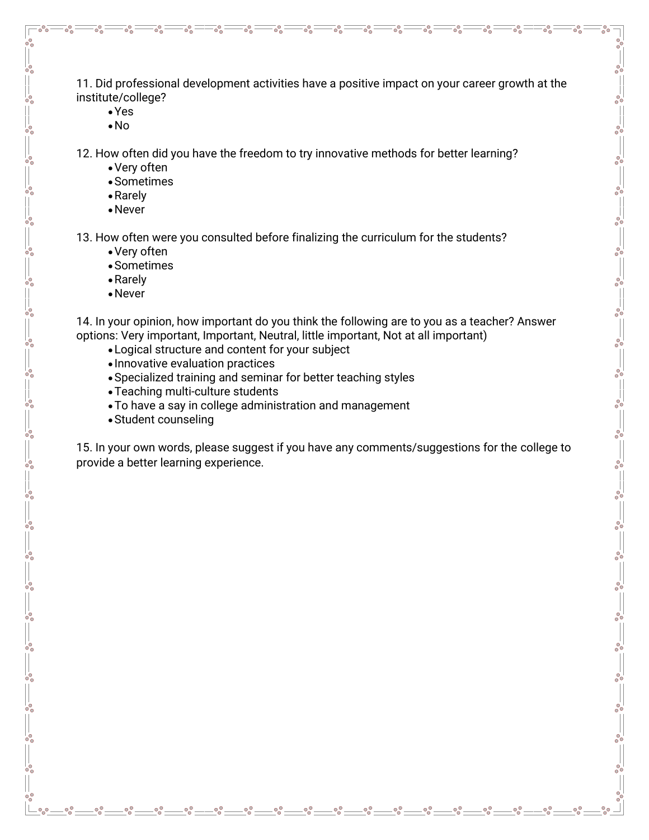11. Did professional development activities have a positive impact on your career growth at the institute/college?

 $\circ^\circ$ 

 $\overline{\circ}^{\circ}$ 

 $\overline{O}^{\circ}$ 

್ಲಿ

 $\circ^\circ$ 

 $\circ^\circ$ 

್ಲಿ

 $\frac{6}{9}$   $\frac{6}{9}$   $-$ 

 $-6^{o}$ 

 $-80$ 

 $-8^{o}$ 

 $\frac{3}{6} - \frac{3}{6} - \frac{3}{6} - \frac{3}{6} - \frac{3}{6} - \frac{3}{6} - \frac{3}{6} - \frac{3}{6} - \frac{3}{6} - \frac{3}{6} - \frac{3}{6} - \frac{3}{6}$ 

 $- \frac{6}{9}$ 

 $-80 - 80 - 80$ 

 $-8^{o}$ 

 $-60$ 

 $\frac{5}{6}$ 

 $\overline{\circ}$ 

•Yes

ೊ

ഀ

 $\circ_{\circ}^{\circ}$ 

 $\circ_{\circ}^{\circ}$ 

 $\circ_{\circ}^{\circ}$ 

 $\overline{\circ}$ 

 $-8^{+0}_{-0}$ 

ပ္စ္လိ

ပ္၀ိ

ပ္၀ိ

 $-6^{0}$ 

 $\overline{\circ}^{\circ}_\circ$ 

 $-8^{+0}_{-0}$ 

 $\circ_{\circ}^{\circ}$ 

 $\circ_{\circ}^{\circ}$ 

 $\circ_{\circ}^{\circ}$ 

 $\circ_{\circ}^{\circ}$  .

•No

12. How often did you have the freedom to try innovative methods for better learning?

 $\overline{\circ}^{\circ}_{\cap}$ 

 $\circ$ <sup>o</sup>

 $\overline{\circ}^{\circ}$ 

 $\overline{O}^{\circ}$ 

- •Very often
- •Sometimes
- •Rarely
- •Never

13. How often were you consulted before finalizing the curriculum for the students?

- •Very often
- •Sometimes
- •Rarely
- •Never

14. In your opinion, how important do you think the following are to you as a teacher? Answer options: Very important, Important, Neutral, little important, Not at all important)

- •Logical structure and content for your subject
- Innovative evaluation practices
- •Specialized training and seminar for better teaching styles
- •Teaching multi-culture students
- •To have a say in college administration and management
- •Student counseling

15. In your own words, please suggest if you have any comments/suggestions for the college to provide a better learning experience.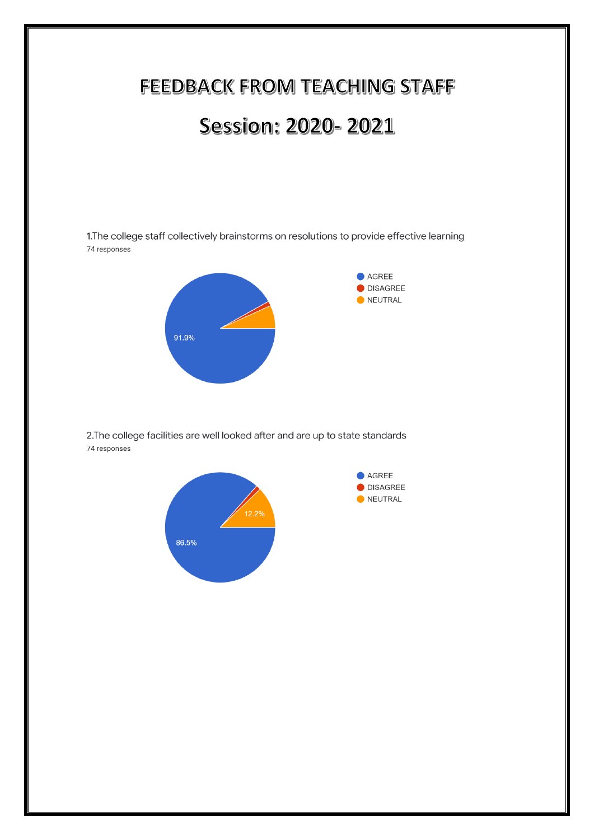

2. The college facilities are well looked after and are up to state standards 74 responses

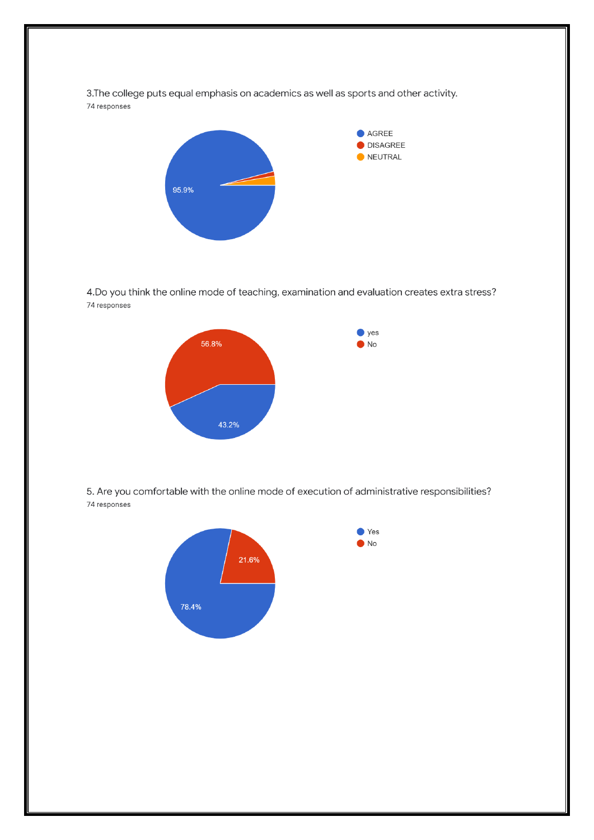3. The college puts equal emphasis on academics as well as sports and other activity. 74 responses



4. Do you think the online mode of teaching, examination and evaluation creates extra stress? 74 responses



5. Are you comfortable with the online mode of execution of administrative responsibilities? 74 responses

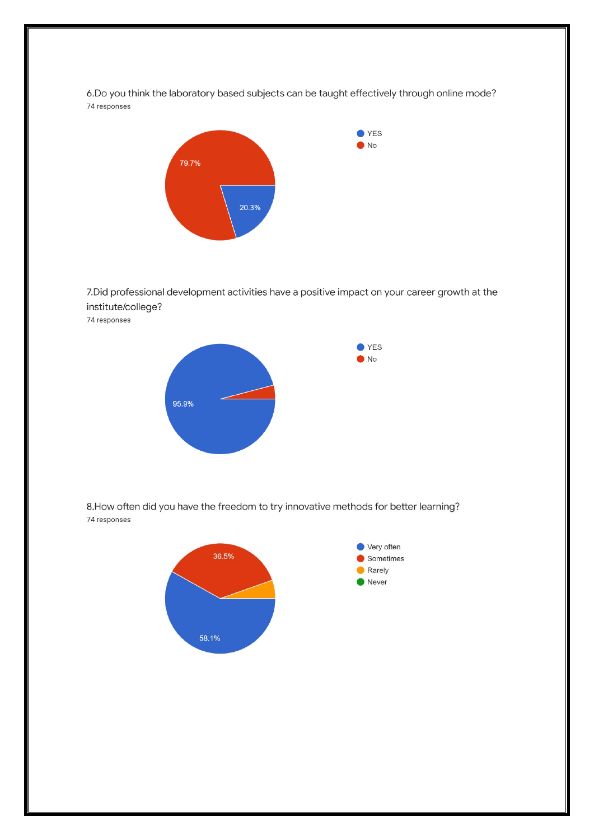6.Do you think the laboratory based subjects can be taught effectively through online mode? 74 responses



7. Did professional development activities have a positive impact on your career growth at the institute/college?

74 responses



8. How often did you have the freedom to try innovative methods for better learning? 74 responses